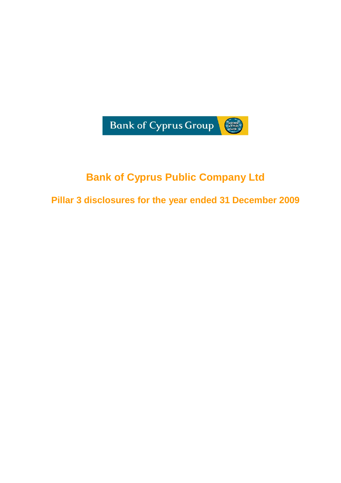

# **Bank of Cyprus Public Company Ltd**

**Pillar 3 disclosures for the year ended 31 December 2009**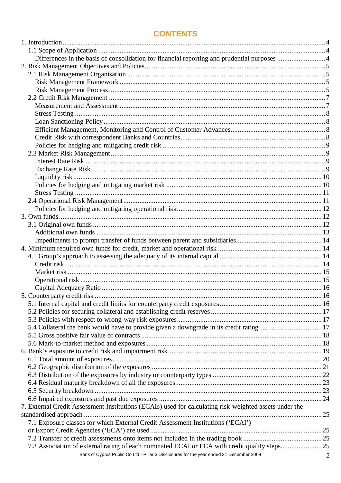# **CONTENTS**

| Differences in the basis of consolidation for financial reporting and prudential purposes  4           |   |
|--------------------------------------------------------------------------------------------------------|---|
|                                                                                                        |   |
|                                                                                                        |   |
|                                                                                                        |   |
|                                                                                                        |   |
|                                                                                                        |   |
|                                                                                                        |   |
|                                                                                                        |   |
|                                                                                                        |   |
|                                                                                                        |   |
|                                                                                                        |   |
|                                                                                                        |   |
|                                                                                                        |   |
|                                                                                                        |   |
|                                                                                                        |   |
|                                                                                                        |   |
|                                                                                                        |   |
|                                                                                                        |   |
|                                                                                                        |   |
|                                                                                                        |   |
|                                                                                                        |   |
|                                                                                                        |   |
|                                                                                                        |   |
|                                                                                                        |   |
|                                                                                                        |   |
|                                                                                                        |   |
|                                                                                                        |   |
|                                                                                                        |   |
|                                                                                                        |   |
|                                                                                                        |   |
|                                                                                                        |   |
|                                                                                                        |   |
|                                                                                                        |   |
|                                                                                                        |   |
| 5.4 Collateral the bank would have to provide given a downgrade in its credit rating 17                |   |
|                                                                                                        |   |
|                                                                                                        |   |
|                                                                                                        |   |
|                                                                                                        |   |
|                                                                                                        |   |
|                                                                                                        |   |
|                                                                                                        |   |
|                                                                                                        |   |
|                                                                                                        |   |
|                                                                                                        |   |
| 7. External Credit Assessment Institutions (ECAIs) used for calculating risk-weighted assets under the |   |
|                                                                                                        |   |
| 7.1 Exposure classes for which External Credit Assessment Institutions ('ECAI')                        |   |
|                                                                                                        |   |
|                                                                                                        |   |
|                                                                                                        |   |
| Bank of Cyprus Public Co Ltd - Pillar 3 Disclosures for the year ended 31 December 2009                | 2 |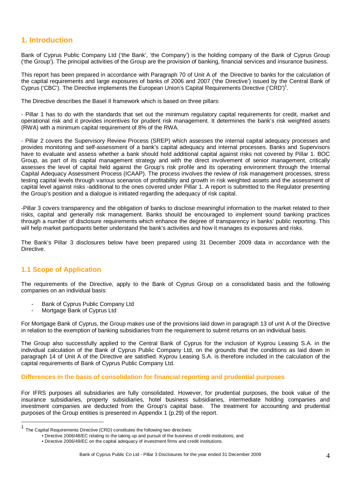# **1. Introduction**

Bank of Cyprus Public Company Ltd ('the Bank', 'the Company') is the holding company of the Bank of Cyprus Group ('the Group'). The principal activities of the Group are the provision of banking, financial services and insurance business.

This report has been prepared in accordance with Paragraph 70 of Unit A of the Directive to banks for the calculation of the capital requirements and large exposures of banks of 2006 and 2007 ('the Directive') issued by the Central Bank of Cyprus ('CBC'). The Directive implements the European Union's Capital Requirements Directive ('CRD')<sup>1</sup>.

The Directive describes the Basel II framework which is based on three pillars:

- Pillar 1 has to do with the standards that set out the minimum regulatory capital requirements for credit, market and operational risk and it provides incentives for prudent risk management. It determines the bank's risk weighted assets (RWA) with a minimum capital requirement of 8% of the RWA.

- Pillar 2 covers the Supervisory Review Process (SREP) which assesses the internal capital adequacy processes and provides monitoring and self-assessment of a bank's capital adequacy and internal processes. Banks and Supervisors have to evaluate and assess whether a bank should hold additional capital against risks not covered by Pillar 1. BOC Group, as part of its capital management strategy and with the direct involvement of senior management, critically assesses the level of capital held against the Group's risk profile and its operating environment through the Internal Capital Adequacy Assessment Process (ICAAP). The process involves the review of risk management processes, stress testing capital levels through various scenarios of profitability and growth in risk weighted assets and the assessment of capital level against risks -additional to the ones covered under Pillar 1. A report is submitted to the Regulator presenting the Group's position and a dialogue is initiated regarding the adequacy of risk capital.

-Pillar 3 covers transparency and the obligation of banks to disclose meaningful information to the market related to their risks, capital and generally risk management. Banks should be encouraged to implement sound banking practices through a number of disclosure requirements which enhance the degree of transparency in banks' public reporting. This will help market participants better understand the bank's activities and how it manages its exposures and risks.

The Bank's Pillar 3 disclosures below have been prepared using 31 December 2009 data in accordance with the **Directive** 

# **1.1 Scope of Application**

 $\overline{a}$ 

The requirements of the Directive, apply to the Bank of Cyprus Group on a consolidated basis and the following companies on an individual basis:

- Bank of Cyprus Public Company Ltd
- Mortgage Bank of Cyprus Ltd

For Mortgage Bank of Cyprus, the Group makes use of the provisions laid down in paragraph 13 of unit A of the Directive in relation to the exemption of banking subsidiaries from the requirement to submit returns on an individual basis.

The Group also successfully applied to the Central Bank of Cyprus for the inclusion of Kyprou Leasing S.A. in the individual calculation of the Bank of Cyprus Public Company Ltd, on the grounds that the conditions as laid down in paragraph 14 of Unit A of the Directive are satisfied. Kyprou Leasing S.A. is therefore included in the calculation of the capital requirements of Bank of Cyprus Public Company Ltd.

### **Differences in the basis of consolidation for financial reporting and prudential purposes**

For IFRS purposes all subsidiaries are fully consolidated. However, for prudential purposes, the book value of the insurance subsidiaries, property subsidiaries, hotel business subsidiaries, intermediate holding companies and investment companies are deducted from the Group's capital base. The treatment for accounting and prudential purposes of the Group entities is presented in Appendix 1 (p.29) of the report.

<sup>1</sup> The Capital Requirements Directive (CRD) constitutes the following two directives:

<sup>•</sup> Directive 2006/48/EC relating to the taking up and pursuit of the business of credit institutions; and

<sup>•</sup> Directive 2006/49/EC on the capital adequacy of investment firms and credit institutions.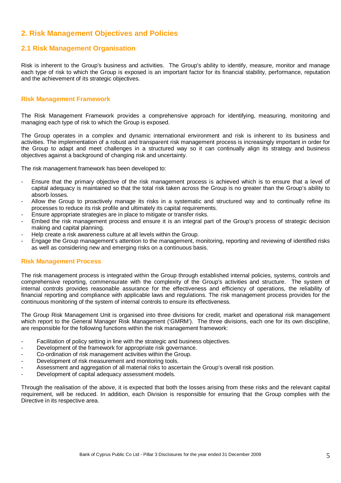# **2. Risk Management Objectives and Policies**

# **2.1 Risk Management Organisation**

Risk is inherent to the Group's business and activities. The Group's ability to identify, measure, monitor and manage each type of risk to which the Group is exposed is an important factor for its financial stability, performance, reputation and the achievement of its strategic objectives.

#### **Risk Management Framework**

The Risk Management Framework provides a comprehensive approach for identifying, measuring, monitoring and managing each type of risk to which the Group is exposed.

The Group operates in a complex and dynamic international environment and risk is inherent to its business and activities. The implementation of a robust and transparent risk management process is increasingly important in order for the Group to adapt and meet challenges in a structured way so it can continually align its strategy and business objectives against a background of changing risk and uncertainty.

The risk management framework has been developed to:

- Ensure that the primary objective of the risk management process is achieved which is to ensure that a level of capital adequacy is maintained so that the total risk taken across the Group is no greater than the Group's ability to absorb losses.
- Allow the Group to proactively manage its risks in a systematic and structured way and to continually refine its processes to reduce its risk profile and ultimately its capital requirements.
- Ensure appropriate strategies are in place to mitigate or transfer risks.
- Embed the risk management process and ensure it is an integral part of the Group's process of strategic decision making and capital planning.
- Help create a risk awareness culture at all levels within the Group.
- Engage the Group management's attention to the management, monitoring, reporting and reviewing of identified risks as well as considering new and emerging risks on a continuous basis.

#### **Risk Management Process**

The risk management process is integrated within the Group through established internal policies, systems, controls and comprehensive reporting, commensurate with the complexity of the Group's activities and structure. The system of internal controls provides reasonable assurance for the effectiveness and efficiency of operations, the reliability of financial reporting and compliance with applicable laws and regulations. The risk management process provides for the continuous monitoring of the system of internal controls to ensure its effectiveness.

The Group Risk Management Unit is organised into three divisions for credit, market and operational risk management which report to the General Manager Risk Management ('GMRM'). The three divisions, each one for its own discipline, are responsible for the following functions within the risk management framework:

- Facilitation of policy setting in line with the strategic and business objectives.
- Development of the framework for appropriate risk governance.
- Co-ordination of risk management activities within the Group.
- Development of risk measurement and monitoring tools.
- Assessment and aggregation of all material risks to ascertain the Group's overall risk position.
- Development of capital adequacy assessment models.

Through the realisation of the above, it is expected that both the losses arising from these risks and the relevant capital requirement, will be reduced. In addition, each Division is responsible for ensuring that the Group complies with the Directive in its respective area.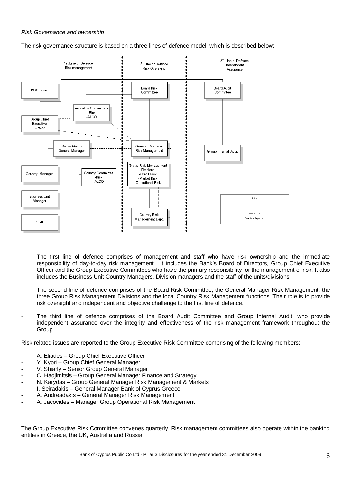#### Risk Governance and ownership

The risk governance structure is based on a three lines of defence model, which is described below:



- The first line of defence comprises of management and staff who have risk ownership and the immediate responsibility of day-to-day risk management. It includes the Bank's Board of Directors, Group Chief Executive Officer and the Group Executive Committees who have the primary responsibility for the management of risk. It also includes the Business Unit Country Managers, Division managers and the staff of the units/divisions.
- The second line of defence comprises of the Board Risk Committee, the General Manager Risk Management, the three Group Risk Management Divisions and the local Country Risk Management functions. Their role is to provide risk oversight and independent and objective challenge to the first line of defence.
- The third line of defence comprises of the Board Audit Committee and Group Internal Audit, who provide independent assurance over the integrity and effectiveness of the risk management framework throughout the Group.

Risk related issues are reported to the Group Executive Risk Committee comprising of the following members:

- A. Eliades Group Chief Executive Officer
- Y. Kypri Group Chief General Manager
- V. Shiarly Senior Group General Manager
- C. Hadjimitsis Group General Manager Finance and Strategy
- N. Karydas Group General Manager Risk Management & Markets
- I. Seiradakis General Manager Bank of Cyprus Greece
- A. Andreadakis General Manager Risk Management
- A. Jacovides Manager Group Operational Risk Management

The Group Executive Risk Committee convenes quarterly. Risk management committees also operate within the banking entities in Greece, the UK, Australia and Russia.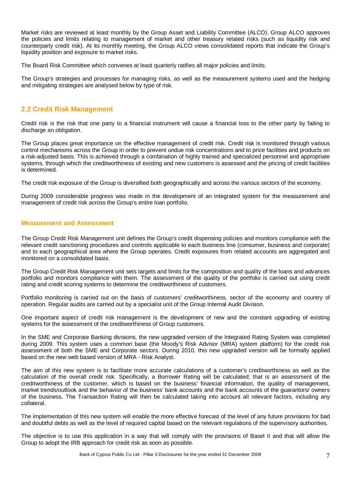Market risks are reviewed at least monthly by the Group Asset and Liability Committee (ALCO). Group ALCO approves the policies and limits relating to management of market and other treasury related risks (such as liquidity risk and counterparty credit risk). At its monthly meeting, the Group ALCO views consolidated reports that indicate the Group's liquidity position and exposure to market risks.

The Board Risk Committee which convenes at least quarterly ratifies all major policies and limits.

The Group's strategies and processes for managing risks, as well as the measurement systems used and the hedging and mitigating strategies are analysed below by type of risk.

# **2.2 Credit Risk Management**

Credit risk is the risk that one party to a financial instrument will cause a financial loss to the other party by failing to discharge an obligation.

The Group places great importance on the effective management of credit risk. Credit risk is monitored through various control mechanisms across the Group in order to prevent undue risk concentrations and to price facilities and products on a risk-adjusted basis. This is achieved through a combination of highly trained and specialized personnel and appropriate systems, through which the creditworthiness of existing and new customers is assessed and the pricing of credit facilities is determined.

The credit risk exposure of the Group is diversified both geographically and across the various sectors of the economy.

During 2009 considerable progress was made in the development of an integrated system for the measurement and management of credit risk across the Group's entire loan portfolio.

### **Measurement and Assessment**

The Group Credit Risk Management unit defines the Group's credit dispensing policies and monitors compliance with the relevant credit sanctioning procedures and controls applicable to each business line (consumer, business and corporate) and to each geographical area where the Group operates. Credit exposures from related accounts are aggregated and monitored on a consolidated basis.

The Group Credit Risk Management unit sets targets and limits for the composition and quality of the loans and advances portfolio and monitors compliance with them. The assessment of the quality of the portfolio is carried out using credit rating and credit scoring systems to determine the creditworthiness of customers.

Portfolio monitoring is carried out on the basis of customers' creditworthiness, sector of the economy and country of operation. Regular audits are carried out by a specialist unit of the Group Internal Audit Division.

One important aspect of credit risk management is the development of new and the constant upgrading of existing systems for the assessment of the creditworthiness of Group customers.

In the SME and Corporate Banking divisions, the new upgraded version of the Integrated Rating System was completed during 2009. This system uses a common base (the Moody's Risk Advisor (MRA) system platform) for the credit risk assessment of both the SME and Corporate sectors. During 2010, this new upgraded version will be formally applied based on the new web based version of MRA - Risk Analyst.

The aim of this new system is to facilitate more accurate calculations of a customer's creditworthiness as well as the calculation of the overall credit risk. Specifically, a Borrower Rating will be calculated; that is an assessment of the creditworthiness of the customer, which is based on the business' financial information, the quality of management, market trends/outlook and the behavior of the business' bank accounts and the bank accounts of the guarantors/ owners of the business. The Transaction Rating will then be calculated taking into account all relevant factors, including any collateral.

The implementation of this new system will enable the more effective forecast of the level of any future provisions for bad and doubtful debts as well as the level of required capital based on the relevant regulations of the supervisory authorities.

The objective is to use this application in a way that will comply with the provisions of Basel II and that will allow the Group to adopt the IRB approach for credit risk as soon as possible.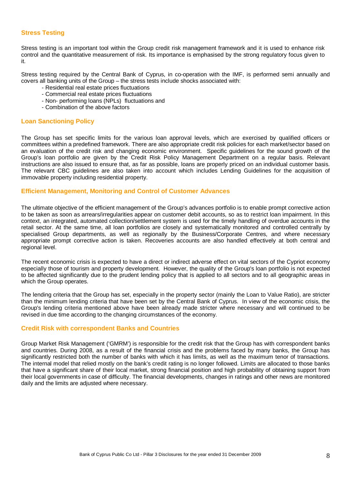#### **Stress Testing**

Stress testing is an important tool within the Group credit risk management framework and it is used to enhance risk control and the quantitative measurement of risk. Its importance is emphasised by the strong regulatory focus given to it.

Stress testing required by the Central Bank of Cyprus, in co-operation with the IMF, is performed semi annually and covers all banking units of the Group – the stress tests include shocks associated with:

- Residential real estate prices fluctuations
- Commercial real estate prices fluctuations
- Non- performing loans (NPLs) fluctuations and
- Combination of the above factors

#### **Loan Sanctioning Policy**

The Group has set specific limits for the various loan approval levels, which are exercised by qualified officers or committees within a predefined framework. There are also appropriate credit risk policies for each market/sector based on an evaluation of the credit risk and changing economic environment. Specific guidelines for the sound growth of the Group's loan portfolio are given by the Credit Risk Policy Management Department on a regular basis. Relevant instructions are also issued to ensure that, as far as possible, loans are properly priced on an individual customer basis. The relevant CBC guidelines are also taken into account which includes Lending Guidelines for the acquisition of immovable property including residential property.

#### **Efficient Management, Monitoring and Control of Customer Advances**

The ultimate objective of the efficient management of the Group's advances portfolio is to enable prompt corrective action to be taken as soon as arrears/irregularities appear on customer debit accounts, so as to restrict loan impairment. In this context, an integrated, automated collection/settlement system is used for the timely handling of overdue accounts in the retail sector. At the same time, all loan portfolios are closely and systematically monitored and controlled centrally by specialised Group departments, as well as regionally by the Business/Corporate Centres, and where necessary appropriate prompt corrective action is taken. Recoveries accounts are also handled effectively at both central and regional level.

The recent economic crisis is expected to have a direct or indirect adverse effect on vital sectors of the Cypriot economy especially those of tourism and property development. However, the quality of the Group's loan portfolio is not expected to be affected significantly due to the prudent lending policy that is applied to all sectors and to all geographic areas in which the Group operates.

The lending criteria that the Group has set, especially in the property sector (mainly the Loan to Value Ratio), are stricter than the minimum lending criteria that have been set by the Central Bank of Cyprus. In view of the economic crisis, the Group's lending criteria mentioned above have been already made stricter where necessary and will continued to be revised in due time according to the changing circumstances of the economy.

#### **Credit Risk with correspondent Banks and Countries**

Group Market Risk Management ('GMRM') is responsible for the credit risk that the Group has with correspondent banks and countries. During 2008, as a result of the financial crisis and the problems faced by many banks, the Group has significantly restricted both the number of banks with which it has limits, as well as the maximum tenor of transactions. The internal model that relied mostly on the bank's credit rating is no longer followed. Limits are allocated to those banks that have a significant share of their local market, strong financial position and high probability of obtaining support from their local governments in case of difficulty. The financial developments, changes in ratings and other news are monitored daily and the limits are adjusted where necessary.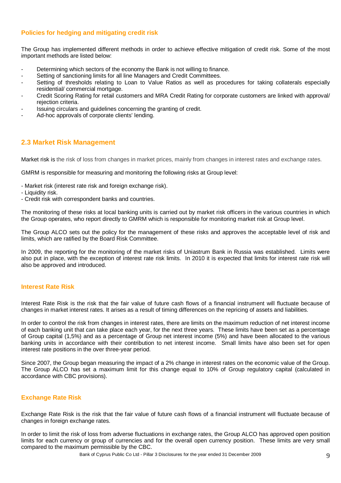### **Policies for hedging and mitigating credit risk**

The Group has implemented different methods in order to achieve effective mitigation of credit risk. Some of the most important methods are listed below:

- Determining which sectors of the economy the Bank is not willing to finance.
- Setting of sanctioning limits for all line Managers and Credit Committees.
- Setting of thresholds relating to Loan to Value Ratios as well as procedures for taking collaterals especially residential/ commercial mortgage.
- Credit Scoring Rating for retail customers and MRA Credit Rating for corporate customers are linked with approval/ rejection criteria.
- Issuing circulars and guidelines concerning the granting of credit.
- Ad-hoc approvals of corporate clients' lending.

# **2.3 Market Risk Management**

Market risk is the risk of loss from changes in market prices, mainly from changes in interest rates and exchange rates.

GMRM is responsible for measuring and monitoring the following risks at Group level:

- Market risk (interest rate risk and foreign exchange risk).
- Liquidity risk.
- Credit risk with correspondent banks and countries.

The monitoring of these risks at local banking units is carried out by market risk officers in the various countries in which the Group operates, who report directly to GMRM which is responsible for monitoring market risk at Group level.

The Group ALCO sets out the policy for the management of these risks and approves the acceptable level of risk and limits, which are ratified by the Board Risk Committee.

In 2009, the reporting for the monitoring of the market risks of Uniastrum Bank in Russia was established. Limits were also put in place, with the exception of interest rate risk limits. In 2010 it is expected that limits for interest rate risk will also be approved and introduced.

#### **Interest Rate Risk**

Interest Rate Risk is the risk that the fair value of future cash flows of a financial instrument will fluctuate because of changes in market interest rates. It arises as a result of timing differences on the repricing of assets and liabilities.

In order to control the risk from changes in interest rates, there are limits on the maximum reduction of net interest income of each banking unit that can take place each year, for the next three years. These limits have been set as a percentage of Group capital (1,5%) and as a percentage of Group net interest income (5%) and have been allocated to the various banking units in accordance with their contribution to net interest income. Small limits have also been set for open interest rate positions in the over three-year period.

Since 2007, the Group began measuring the impact of a 2% change in interest rates on the economic value of the Group. The Group ALCO has set a maximum limit for this change equal to 10% of Group regulatory capital (calculated in accordance with CBC provisions).

### **Exchange Rate Risk**

Exchange Rate Risk is the risk that the fair value of future cash flows of a financial instrument will fluctuate because of changes in foreign exchange rates.

In order to limit the risk of loss from adverse fluctuations in exchange rates, the Group ALCO has approved open position limits for each currency or group of currencies and for the overall open currency position. These limits are very small compared to the maximum permissible by the CBC.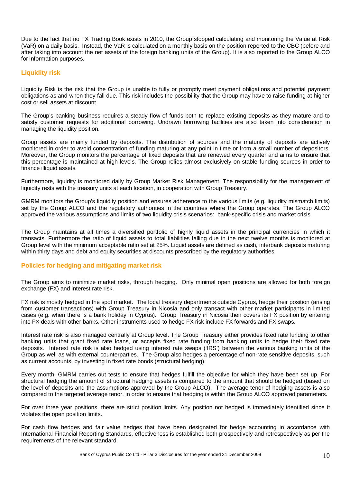Due to the fact that no FX Trading Book exists in 2010, the Group stopped calculating and monitoring the Value at Risk (VaR) on a daily basis. Instead, the VaR is calculated on a monthly basis on the position reported to the CBC (before and after taking into account the net assets of the foreign banking units of the Group). It is also reported to the Group ALCO for information purposes.

### **Liquidity risk**

Liquidity Risk is the risk that the Group is unable to fully or promptly meet payment obligations and potential payment obligations as and when they fall due. This risk includes the possibility that the Group may have to raise funding at higher cost or sell assets at discount.

The Group's banking business requires a steady flow of funds both to replace existing deposits as they mature and to satisfy customer requests for additional borrowing. Undrawn borrowing facilities are also taken into consideration in managing the liquidity position.

Group assets are mainly funded by deposits. The distribution of sources and the maturity of deposits are actively monitored in order to avoid concentration of funding maturing at any point in time or from a small number of depositors. Moreover, the Group monitors the percentage of fixed deposits that are renewed every quarter and aims to ensure that this percentage is maintained at high levels. The Group relies almost exclusively on stable funding sources in order to finance illiquid assets.

Furthermore, liquidity is monitored daily by Group Market Risk Management. The responsibility for the management of liquidity rests with the treasury units at each location, in cooperation with Group Treasury.

GMRM monitors the Group's liquidity position and ensures adherence to the various limits (e.g. liquidity mismatch limits) set by the Group ALCO and the regulatory authorities in the countries where the Group operates. The Group ALCO approved the various assumptions and limits of two liquidity crisis scenarios: bank-specific crisis and market crisis.

The Group maintains at all times a diversified portfolio of highly liquid assets in the principal currencies in which it transacts. Furthermore the ratio of liquid assets to total liabilities falling due in the next twelve months is monitored at Group level with the minimum acceptable ratio set at 25%. Liquid assets are defined as cash, interbank deposits maturing within thirty days and debt and equity securities at discounts prescribed by the regulatory authorities.

#### **Policies for hedging and mitigating market risk**

The Group aims to minimize market risks, through hedging. Only minimal open positions are allowed for both foreign exchange (FX) and interest rate risk.

FX risk is mostly hedged in the spot market. The local treasury departments outside Cyprus, hedge their position (arising from customer transactions) with Group Treasury in Nicosia and only transact with other market participants in limited cases (e.g. when there is a bank holiday in Cyprus). Group Treasury in Nicosia then covers its FX position by entering into FX deals with other banks. Other instruments used to hedge FX risk include FX forwards and FX swaps.

Interest rate risk is also managed centrally at Group level. The Group Treasury either provides fixed rate funding to other banking units that grant fixed rate loans, or accepts fixed rate funding from banking units to hedge their fixed rate deposits. Interest rate risk is also hedged using interest rate swaps ('IRS') between the various banking units of the Group as well as with external counterparties. The Group also hedges a percentage of non-rate sensitive deposits, such as current accounts, by investing in fixed rate bonds (structural hedging).

Every month, GMRM carries out tests to ensure that hedges fulfill the objective for which they have been set up. For structural hedging the amount of structural hedging assets is compared to the amount that should be hedged (based on the level of deposits and the assumptions approved by the Group ALCO). The average tenor of hedging assets is also compared to the targeted average tenor, in order to ensure that hedging is within the Group ALCO approved parameters.

For over three year positions, there are strict position limits. Any position not hedged is immediately identified since it violates the open position limits.

For cash flow hedges and fair value hedges that have been designated for hedge accounting in accordance with International Financial Reporting Standards, effectiveness is established both prospectively and retrospectively as per the requirements of the relevant standard.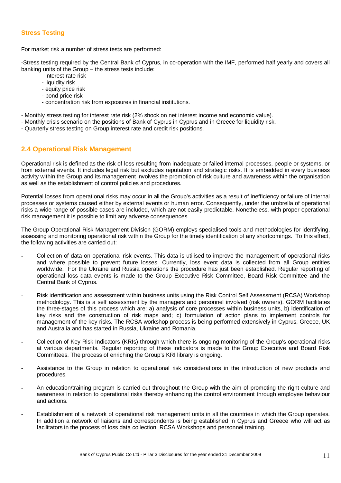#### **Stress Testing**

For market risk a number of stress tests are performed:

-Stress testing required by the Central Bank of Cyprus, in co-operation with the IMF, performed half yearly and covers all banking units of the Group – the stress tests include:

- interest rate risk
- liquidity risk
- equity price risk
- bond price risk
- concentration risk from exposures in financial institutions.
- Monthly stress testing for interest rate risk (2% shock on net interest income and economic value).
- Monthly crisis scenario on the positions of Bank of Cyprus in Cyprus and in Greece for liquidity risk.
- Quarterly stress testing on Group interest rate and credit risk positions.

# **2.4 Operational Risk Management**

Operational risk is defined as the risk of loss resulting from inadequate or failed internal processes, people or systems, or from external events. It includes legal risk but excludes reputation and strategic risks. It is embedded in every business activity within the Group and its management involves the promotion of risk culture and awareness within the organisation as well as the establishment of control policies and procedures.

Potential losses from operational risks may occur in all the Group's activities as a result of inefficiency or failure of internal processes or systems caused either by external events or human error. Consequently, under the umbrella of operational risks a wide range of possible cases are included, which are not easily predictable. Nonetheless, with proper operational risk management it is possible to limit any adverse consequences.

The Group Operational Risk Management Division (GORM) employs specialised tools and methodologies for identifying, assessing and monitoring operational risk within the Group for the timely identification of any shortcomings. To this effect, the following activities are carried out:

- Collection of data on operational risk events. This data is utilised to improve the management of operational risks and where possible to prevent future losses. Currently, loss event data is collected from all Group entities worldwide. For the Ukraine and Russia operations the procedure has just been established. Regular reporting of operational loss data events is made to the Group Executive Risk Committee, Board Risk Committee and the Central Bank of Cyprus.
- Risk identification and assessment within business units using the Risk Control Self Assessment (RCSA) Workshop methodology. This is a self assessment by the managers and personnel involved (risk owners). GORM facilitates the three-stages of this process which are: a) analysis of core processes within business units, b) identification of key risks and the construction of risk maps and; c) formulation of action plans to implement controls for management of the key risks. The RCSA workshop process is being performed extensively in Cyprus, Greece, UK and Australia and has started in Russia, Ukraine and Romania.
- Collection of Key Risk Indicators (KRIs) through which there is ongoing monitoring of the Group's operational risks at various departments. Regular reporting of these indicators is made to the Group Executive and Board Risk Committees. The process of enriching the Group's KRI library is ongoing.
- Assistance to the Group in relation to operational risk considerations in the introduction of new products and procedures.
- An education/training program is carried out throughout the Group with the aim of promoting the right culture and awareness in relation to operational risks thereby enhancing the control environment through employee behaviour and actions.
- Establishment of a network of operational risk management units in all the countries in which the Group operates. In addition a network of liaisons and correspondents is being established in Cyprus and Greece who will act as facilitators in the process of loss data collection, RCSA Workshops and personnel training.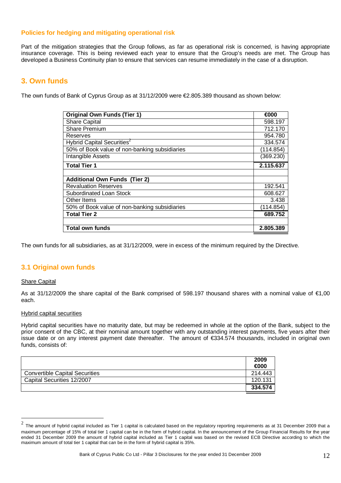### **Policies for hedging and mitigating operational risk**

Part of the mitigation strategies that the Group follows, as far as operational risk is concerned, is having appropriate insurance coverage. This is being reviewed each year to ensure that the Group's needs are met. The Group has developed a Business Continuity plan to ensure that services can resume immediately in the case of a disruption.

# **3. Own funds**

The own funds of Bank of Cyprus Group as at 31/12/2009 were €2.805.389 thousand as shown below:

| <b>Original Own Funds (Tier 1)</b>            | €000      |
|-----------------------------------------------|-----------|
| <b>Share Capital</b>                          | 598.197   |
| <b>Share Premium</b>                          | 712.170   |
| Reserves                                      | 954.780   |
| Hybrid Capital Securities <sup>2</sup>        | 334.574   |
| 50% of Book value of non-banking subsidiaries | (114.854) |
| Intangible Assets                             | (369.230) |
| <b>Total Tier 1</b>                           | 2.115.637 |
|                                               |           |
| <b>Additional Own Funds (Tier 2)</b>          |           |
| <b>Revaluation Reserves</b>                   | 192.541   |
| Subordinated Loan Stock                       | 608.627   |
| Other Items                                   | 3.438     |
| 50% of Book value of non-banking subsidiaries | (114.854) |
| <b>Total Tier 2</b>                           | 689.752   |
|                                               |           |
| <b>Total own funds</b>                        | 2.805.389 |

The own funds for all subsidiaries, as at 31/12/2009, were in excess of the minimum required by the Directive.

# **3.1 Original own funds**

#### Share Capital

 $\overline{a}$ 

As at 31/12/2009 the share capital of the Bank comprised of 598.197 thousand shares with a nominal value of €1,00 each.

#### Hybrid capital securities

Hybrid capital securities have no maturity date, but may be redeemed in whole at the option of the Bank, subject to the prior consent of the CBC, at their nominal amount together with any outstanding interest payments, five years after their issue date or on any interest payment date thereafter. The amount of €334.574 thousands, included in original own funds, consists of:

|                                       | 2009<br>€000 |
|---------------------------------------|--------------|
| <b>Convertible Capital Securities</b> | 214.443      |
| Capital Securities 12/2007            | 120.131      |
|                                       | 334.574      |

<sup>2</sup> The amount of hybrid capital included as Tier 1 capital is calculated based on the regulatory reporting requirements as at 31 December 2009 that a maximum percentage of 15% of total tier 1 capital can be in the form of hybrid capital. In the announcement of the Group Financial Results for the year ended 31 December 2009 the amount of hybrid capital included as Tier 1 capital was based on the revised ECB Directive according to which the maximum amount of total tier 1 capital that can be in the form of hybrid capital is 35%.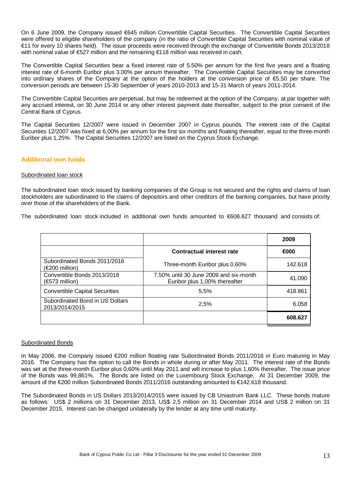On 6 June 2009, the Company issued €645 million Convertible Capital Securities. The Convertible Capital Securities were offered to eligible shareholders of the company (in the ratio of Convertible Capital Securities with nominal value of €11 for every 10 shares held). The issue proceeds were received through the exchange of Convertible Bonds 2013/2018 with nominal value of €527 million and the remaining €118 million was received in cash.

The Convertible Capital Securities bear a fixed interest rate of 5.50% per annum for the first five years and a floating interest rate of 6-month Euribor plus 3.00% per annum thereafter. The Convertible Capital Securities may be converted into ordinary shares of the Company at the option of the holders at the conversion price of €5,50 per share. The conversion periods are between 15-30 September of years 2010-2013 and 15-31 March of years 2011-2014.

The Convertible Capital Securities are perpetual, but may be redeemed at the option of the Company, at par together with any accrued interest, on 30 June 2014 or any other interest payment date thereafter, subject to the prior consent of the Central Bank of Cyprus.

The Capital Securities 12/2007 were issued in December 2007 in Cyprus pounds. The interest rate of the Capital Securities 12/2007 was fixed at 6,00% per annum for the first six months and floating thereafter, equal to the three-month Euribor plus 1,25%. The Capital Securities 12/2007 are listed on the Cyprus Stock Exchange.

### **Additional own funds**

#### Subordinated loan stock

The subordinated loan stock issued by banking companies of the Group is not secured and the rights and claims of loan stockholders are subordinated to the claims of depositors and other creditors of the banking companies, but have priority over those of the shareholders of the Bank.

The subordinated loan stock included in additional own funds amounted to €608.627 thousand and consists of:

|                                                         |                                                                         | 2009    |
|---------------------------------------------------------|-------------------------------------------------------------------------|---------|
|                                                         | <b>Contractual interest rate</b>                                        | €000    |
| Subordinated Bonds 2011/2016<br>(€200 million)          | Three-month Euribor plus 0,60%                                          | 142.618 |
| Convertible Bonds 2013/2018<br>$(\epsilon$ 573 million) | 7,50% until 30 June 2009 and six-month<br>Euribor plus 1,00% thereafter | 41.090  |
| <b>Convertible Capital Securities</b>                   | 5.5%                                                                    | 418.861 |
| Subordinated Bond in US Dollars<br>2013/2014/2015       | 2,5%                                                                    | 6.058   |
|                                                         |                                                                         | 608.627 |

#### Subordinated Bonds

In May 2006, the Company issued €200 million floating rate Subordinated Bonds 2011/2016 in Euro maturing in May 2016. The Company has the option to call the Bonds in whole during or after May 2011. The interest rate of the Bonds was set at the three-month Euribor plus 0,60% until May 2011 and will increase to plus 1,60% thereafter. The issue price of the Bonds was 99,861%. The Bonds are listed on the Luxembourg Stock Exchange. At 31 December 2009, the amount of the €200 million Subordinated Bonds 2011/2016 outstanding amounted to €142.618 thousand.

The Subordinated Bonds in US Dollars 2013/2014/2015 were issued by CB Uniastrum Bank LLC. These bonds mature as follows: US\$ 2 millions on 31 December 2013, US\$ 2,5 million on 31 December 2014 and US\$ 2 million on 31 December 2015. Interest can be changed unilaterally by the lender at any time until maturity.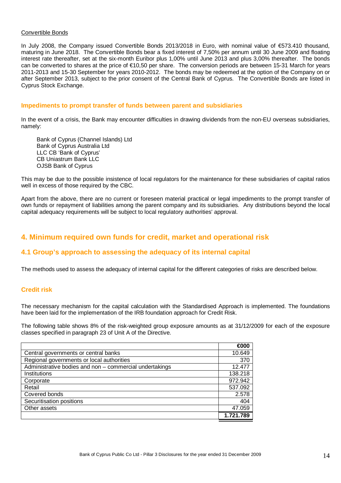#### Convertible Bonds

In July 2008, the Company issued Convertible Bonds 2013/2018 in Euro, with nominal value of €573.410 thousand, maturing in June 2018. The Convertible Bonds bear a fixed interest of 7,50% per annum until 30 June 2009 and floating interest rate thereafter, set at the six-month Euribor plus 1,00% until June 2013 and plus 3,00% thereafter. The bonds can be converted to shares at the price of €10,50 per share. The conversion periods are between 15-31 March for years 2011-2013 and 15-30 September for years 2010-2012. The bonds may be redeemed at the option of the Company on or after September 2013, subject to the prior consent of the Central Bank of Cyprus. The Convertible Bonds are listed in Cyprus Stock Exchange.

#### **Impediments to prompt transfer of funds between parent and subsidiaries**

In the event of a crisis, the Bank may encounter difficulties in drawing dividends from the non-EU overseas subsidiaries, namely:

Bank of Cyprus (Channel Islands) Ltd Bank of Cyprus Australia Ltd LLC CB 'Bank of Cyprus' CB Uniastrum Bank LLC OJSB Bank of Cyprus

This may be due to the possible insistence of local regulators for the maintenance for these subsidiaries of capital ratios well in excess of those required by the CBC.

Apart from the above, there are no current or foreseen material practical or legal impediments to the prompt transfer of own funds or repayment of liabilities among the parent company and its subsidiaries. Any distributions beyond the local capital adequacy requirements will be subject to local regulatory authorities' approval.

# **4. Minimum required own funds for credit, market and operational risk**

### **4.1 Group's approach to assessing the adequacy of its internal capital**

The methods used to assess the adequacy of internal capital for the different categories of risks are described below.

#### **Credit risk**

The necessary mechanism for the capital calculation with the Standardised Approach is implemented. The foundations have been laid for the implementation of the IRB foundation approach for Credit Risk.

The following table shows 8% of the risk-weighted group exposure amounts as at 31/12/2009 for each of the exposure classes specified in paragraph 23 of Unit A of the Directive.

|                                                         | €000      |
|---------------------------------------------------------|-----------|
| Central governments or central banks                    | 10.649    |
| Regional governments or local authorities               |           |
| Administrative bodies and non - commercial undertakings | 12.477    |
| Institutions                                            | 138.218   |
| Corporate                                               | 972.942   |
| Retail                                                  | 537.092   |
| Covered bonds                                           | 2.578     |
| Securitisation positions                                |           |
| Other assets                                            | 47.059    |
|                                                         | 1.721.789 |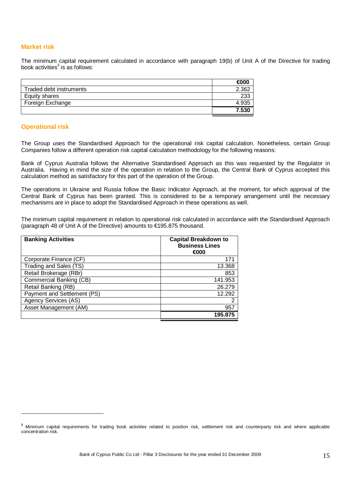#### **Market risk**

The minimum capital requirement calculated in accordance with paragraph 19(b) of Unit A of the Directive for trading book activities $^3$  is as follows:

|                         | €000  |
|-------------------------|-------|
| Traded debt instruments | 2.362 |
| Equity shares           | 233   |
| Foreign Exchange        | 4.935 |
|                         | 7.530 |

#### **Operational risk**

 $\overline{a}$ 

The Group uses the Standardised Approach for the operational risk capital calculation. Nonetheless, certain Group Companies follow a different operation risk capital calculation methodology for the following reasons:

Bank of Cyprus Australia follows the Alternative Standardised Approach as this was requested by the Regulator in Australia. Having in mind the size of the operation in relation to the Group, the Central Bank of Cyprus accepted this calculation method as satisfactory for this part of the operation of the Group.

The operations in Ukraine and Russia follow the Basic Indicator Approach, at the moment, for which approval of the Central Bank of Cyprus has been granted. This is considered to be a temporary arrangement until the necessary mechanisms are in place to adopt the Standardised Approach in these operations as well.

The minimum capital requirement in relation to operational risk calculated in accordance with the Standardised Approach (paragraph 48 of Unit A of the Directive) amounts to €195.875 thousand.

| <b>Banking Activities</b>   | <b>Capital Breakdown to</b><br><b>Business Lines</b><br>€000 |
|-----------------------------|--------------------------------------------------------------|
| Corporate Finance (CF)      | 171                                                          |
| Trading and Sales (TS)      | 13.368                                                       |
| Retail Brokerage (RBr)      | 853                                                          |
| Commercial Banking (CB)     | 141.953                                                      |
| Retail Banking (RB)         | 26.279                                                       |
| Payment and Settlement (PS) | 12.292                                                       |
| Agency Services (AS)        | 2                                                            |
| Asset Management (AM)       | 957                                                          |
|                             | 195.875                                                      |

**<sup>3</sup>** Minimum capital requirements for trading book activities related to position risk, settlement risk and counterparty risk and where applicable concentration risk.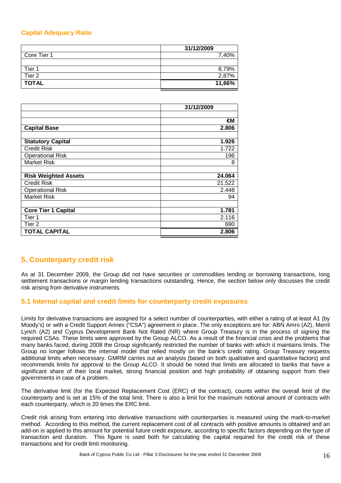### **Capital Adequacy Ratio**

|                   | 31/12/2009 |
|-------------------|------------|
| Core Tier 1       | 7,40%      |
|                   |            |
| Tier 1            | 8,79%      |
| Tier <sub>2</sub> | 2,87%      |
| <b>TOTAL</b>      | 11,66%     |

|                             | 31/12/2009 |
|-----------------------------|------------|
|                             |            |
|                             | €М         |
| <b>Capital Base</b>         | 2.806      |
|                             |            |
| <b>Statutory Capital</b>    | 1.926      |
| <b>Credit Risk</b>          | 1.722      |
| <b>Operational Risk</b>     | 196        |
| <b>Market Risk</b>          | 8          |
|                             |            |
| <b>Risk Weighted Assets</b> | 24.064     |
| <b>Credit Risk</b>          | 21.522     |
| <b>Operational Risk</b>     | 2.448      |
| <b>Market Risk</b>          | 94         |
|                             |            |
| <b>Core Tier 1 Capital</b>  | 1.781      |
| Tier 1                      | 2.116      |
| Tier <sub>2</sub>           | 690        |
| <b>TOTAL CAPITAL</b>        | 2.806      |

# **5. Counterparty credit risk**

As at 31 December 2009, the Group did not have securities or commodities lending or borrowing transactions, long settlement transactions or margin lending transactions outstanding. Hence, the section below only discusses the credit risk arising from derivative instruments.

# **5.1 Internal capital and credit limits for counterparty credit exposures**

Limits for derivative transactions are assigned for a select number of counterparties, with either a rating of at least A1 (by Moody's) or with a Credit Support Annex ("CSA") agreement in place. The only exceptions are for: ABN Amro (A2), Merril Lynch (A2) and Cyprus Development Bank Not Rated (NR) where Group Treasury is in the process of signing the required CSAs. These limits were approved by the Group ALCO. As a result of the financial crisis and the problems that many banks faced, during 2008 the Group significantly restricted the number of banks with which it maintains limits. The Group no longer follows the internal model that relied mostly on the bank's credit rating. Group Treasury requests additional limits when necessary. GMRM carries out an analysis (based on both qualitative and quantitative factors) and recommends limits for approval to the Group ALCO. It should be noted that limits are allocated to banks that have a significant share of their local market, strong financial position and high probability of obtaining support from their governments in case of a problem.

The derivative limit (for the Expected Replacement Cost (ERC) of the contract), counts within the overall limit of the counterparty and is set at 15% of the total limit. There is also a limit for the maximum notional amount of contracts with each counterparty, which is 20 times the ERC limit.

Credit risk arising from entering into derivative transactions with counterparties is measured using the mark-to-market method. According to this method, the current replacement cost of all contracts with positive amounts is obtained and an add-on is applied to this amount for potential future credit exposure, according to specific factors depending on the type of transaction and duration. This figure is used both for calculating the capital required for the credit risk of these transactions and for credit limit monitoring.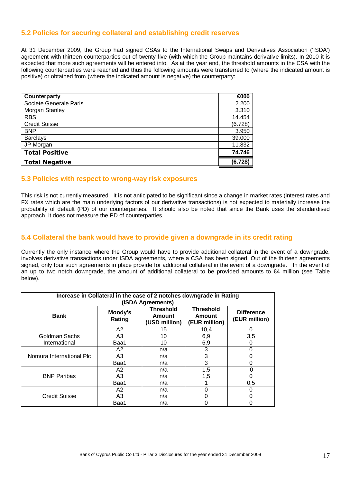# **5.2 Policies for securing collateral and establishing credit reserves**

At 31 December 2009, the Group had signed CSAs to the International Swaps and Derivatives Association ('ISDA') agreement with thirteen counterparties out of twenty five (with which the Group maintains derivative limits). In 2010 it is expected that more such agreements will be entered into. As at the year end, the threshold amounts in the CSA with the following counterparties were reached and thus the following amounts were transferred to (where the indicated amount is positive) or obtained from (where the indicated amount is negative) the counterparty:

| Counterparty           | €000    |
|------------------------|---------|
| Societe Generale Paris | 2.200   |
| Morgan Stanley         | 3.310   |
| <b>RBS</b>             | 14.454  |
| <b>Credit Suisse</b>   | (6.728) |
| <b>BNP</b>             | 3.950   |
| <b>Barclays</b>        | 39.000  |
| JP Morgan              | 11.832  |
| <b>Total Positive</b>  | 74.746  |
| <b>Total Negative</b>  | (6.728) |

#### **5.3 Policies with respect to wrong-way risk exposures**

This risk is not currently measured. It is not anticipated to be significant since a change in market rates (interest rates and FX rates which are the main underlying factors of our derivative transactions) is not expected to materially increase the probability of default (PD) of our counterparties. It should also be noted that since the Bank uses the standardised approach, it does not measure the PD of counterparties.

### **5.4 Collateral the bank would have to provide given a downgrade in its credit rating**

Currently the only instance where the Group would have to provide additional collateral in the event of a downgrade, involves derivative transactions under ISDA agreements, where a CSA has been signed. Out of the thirteen agreements signed, only four such agreements in place provide for additional collateral in the event of a downgrade. In the event of an up to two notch downgrade, the amount of additional collateral to be provided amounts to €4 million (see Table below).

| Increase in Collateral in the case of 2 notches downgrade in Rating<br>(ISDA Agreements) |                   |                                             |                                                    |                                    |
|------------------------------------------------------------------------------------------|-------------------|---------------------------------------------|----------------------------------------------------|------------------------------------|
| <b>Bank</b>                                                                              | Moody's<br>Rating | <b>Threshold</b><br>Amount<br>(USD million) | <b>Threshold</b><br><b>Amount</b><br>(EUR million) | <b>Difference</b><br>(EUR million) |
|                                                                                          | A2                | 15                                          | 10,4                                               | 0                                  |
| Goldman Sachs                                                                            | A <sub>3</sub>    | 10                                          | 6,9                                                | 3,5                                |
| International                                                                            | Baa1              | 10                                          | 6,9                                                |                                    |
|                                                                                          | A2                | n/a                                         | 3                                                  | 0                                  |
| Nomura International Plc                                                                 | A <sub>3</sub>    | n/a                                         | 3                                                  |                                    |
|                                                                                          | Baa1              | n/a                                         | 3                                                  | 0                                  |
|                                                                                          | A2                | n/a                                         | 1,5                                                | 0                                  |
| <b>BNP Paribas</b>                                                                       | A <sub>3</sub>    | n/a                                         | 1,5                                                |                                    |
|                                                                                          | Baa1              | n/a                                         |                                                    | 0,5                                |
|                                                                                          | A <sub>2</sub>    | n/a                                         | O                                                  |                                    |
| Credit Suisse                                                                            | A <sub>3</sub>    | n/a                                         |                                                    |                                    |
|                                                                                          | Baa1              | n/a                                         |                                                    |                                    |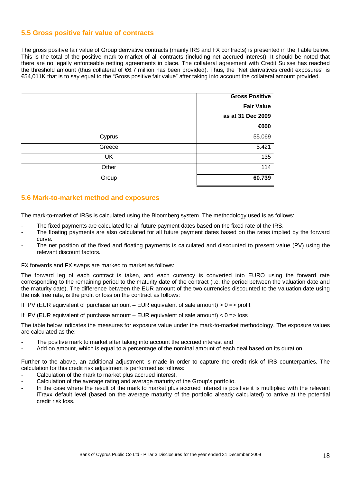# **5.5 Gross positive fair value of contracts**

The gross positive fair value of Group derivative contracts (mainly IRS and FX contracts) is presented in the Table below. This is the total of the positive mark-to-market of all contracts (including net accrued interest). It should be noted that there are no legally enforceable netting agreements in place. The collateral agreement with Credit Suisse has reached the threshold amount (thus collateral of €6.7 million has been provided). Thus, the "Net derivatives credit exposures" is €54,011K that is to say equal to the "Gross positive fair value" after taking into account the collateral amount provided.

|        | <b>Gross Positive</b> |
|--------|-----------------------|
|        | <b>Fair Value</b>     |
|        | as at 31 Dec 2009     |
|        | €000                  |
| Cyprus | 55.069                |
| Greece | 5.421                 |
| UK     | 135                   |
| Other  | 114                   |
| Group  | 60.739                |

# **5.6 Mark-to-market method and exposures**

The mark-to-market of IRSs is calculated using the Bloomberg system. The methodology used is as follows:

- The fixed payments are calculated for all future payment dates based on the fixed rate of the IRS.
- The floating payments are also calculated for all future payment dates based on the rates implied by the forward curve.
- The net position of the fixed and floating payments is calculated and discounted to present value (PV) using the relevant discount factors.

FX forwards and FX swaps are marked to market as follows:

The forward leg of each contract is taken, and each currency is converted into EURO using the forward rate corresponding to the remaining period to the maturity date of the contract (i.e. the period between the valuation date and the maturity date). The difference between the EUR amount of the two currencies discounted to the valuation date using the risk free rate, is the profit or loss on the contract as follows:

If PV (EUR equivalent of purchase amount – EUR equivalent of sale amount)  $> 0 \Rightarrow$  profit

If PV (EUR equivalent of purchase amount – EUR equivalent of sale amount)  $< 0$  => loss

The table below indicates the measures for exposure value under the mark-to-market methodology. The exposure values are calculated as the:

- The positive mark to market after taking into account the accrued interest and
- Add on amount, which is equal to a percentage of the nominal amount of each deal based on its duration.

Further to the above, an additional adjustment is made in order to capture the credit risk of IRS counterparties. The calculation for this credit risk adjustment is performed as follows:

- Calculation of the mark to market plus accrued interest.
- Calculation of the average rating and average maturity of the Group's portfolio.
- In the case where the result of the mark to market plus accrued interest is positive it is multiplied with the relevant iTraxx default level (based on the average maturity of the portfolio already calculated) to arrive at the potential credit risk loss.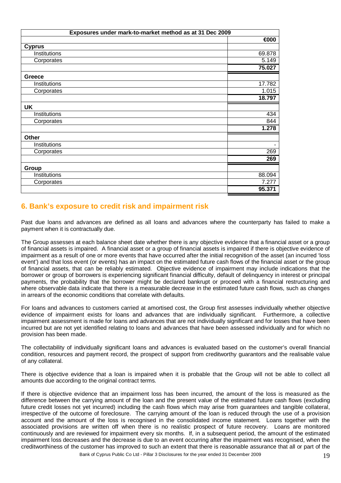| Exposures under mark-to-market method as at 31 Dec 2009 |        |  |  |  |  |  |
|---------------------------------------------------------|--------|--|--|--|--|--|
|                                                         | €000   |  |  |  |  |  |
| <b>Cyprus</b>                                           |        |  |  |  |  |  |
| Institutions                                            | 69.878 |  |  |  |  |  |
| Corporates                                              | 5.149  |  |  |  |  |  |
|                                                         | 75.027 |  |  |  |  |  |
| Greece                                                  |        |  |  |  |  |  |
| Institutions                                            | 17.782 |  |  |  |  |  |
| Corporates                                              | 1.015  |  |  |  |  |  |
|                                                         | 18.797 |  |  |  |  |  |
| <b>UK</b>                                               |        |  |  |  |  |  |
| Institutions                                            | 434    |  |  |  |  |  |
| Corporates                                              | 844    |  |  |  |  |  |
|                                                         | 1.278  |  |  |  |  |  |
| <b>Other</b>                                            |        |  |  |  |  |  |
| Institutions                                            | ۰      |  |  |  |  |  |
| Corporates                                              | 269    |  |  |  |  |  |
|                                                         | 269    |  |  |  |  |  |
| Group                                                   |        |  |  |  |  |  |
| Institutions                                            | 88.094 |  |  |  |  |  |
| Corporates                                              | 7.277  |  |  |  |  |  |
|                                                         | 95.371 |  |  |  |  |  |

# **6. Bank's exposure to credit risk and impairment risk**

Past due loans and advances are defined as all loans and advances where the counterparty has failed to make a payment when it is contractually due.

The Group assesses at each balance sheet date whether there is any objective evidence that a financial asset or a group of financial assets is impaired. A financial asset or a group of financial assets is impaired if there is objective evidence of impairment as a result of one or more events that have occurred after the initial recognition of the asset (an incurred 'loss event') and that loss event (or events) has an impact on the estimated future cash flows of the financial asset or the group of financial assets, that can be reliably estimated. Objective evidence of impairment may include indications that the borrower or group of borrowers is experiencing significant financial difficulty, default of delinquency in interest or principal payments, the probability that the borrower might be declared bankrupt or proceed with a financial restructuring and where observable data indicate that there is a measurable decrease in the estimated future cash flows, such as changes in arrears of the economic conditions that correlate with defaults.

For loans and advances to customers carried at amortised cost, the Group first assesses individually whether objective evidence of impairment exists for loans and advances that are individually significant. Furthermore, a collective impairment assessment is made for loans and advances that are not individually significant and for losses that have been incurred but are not yet identified relating to loans and advances that have been assessed individually and for which no provision has been made.

The collectability of individually significant loans and advances is evaluated based on the customer's overall financial condition, resources and payment record, the prospect of support from creditworthy guarantors and the realisable value of any collateral.

There is objective evidence that a loan is impaired when it is probable that the Group will not be able to collect all amounts due according to the original contract terms.

If there is objective evidence that an impairment loss has been incurred, the amount of the loss is measured as the difference between the carrying amount of the loan and the present value of the estimated future cash flows (excluding future credit losses not yet incurred) including the cash flows which may arise from guarantees and tangible collateral, irrespective of the outcome of foreclosure. The carrying amount of the loan is reduced through the use of a provision account and the amount of the loss is recognised in the consolidated income statement. Loans together with the associated provisions are written off when there is no realistic prospect of future recovery. Loans are monitored continuously and are reviewed for impairment every six months. If, in a subsequent period, the amount of the estimated impairment loss decreases and the decrease is due to an event occurring after the impairment was recognised, when the creditworthiness of the customer has improved to such an extent that there is reasonable assurance that all or part of the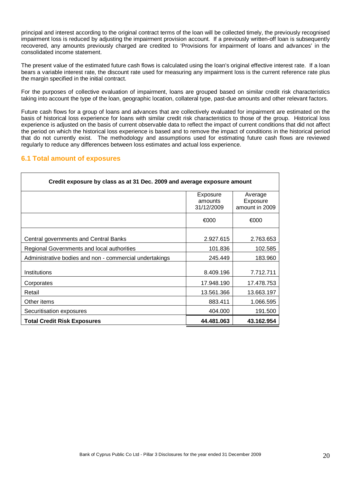principal and interest according to the original contract terms of the loan will be collected timely, the previously recognised impairment loss is reduced by adjusting the impairment provision account. If a previously written-off loan is subsequently recovered, any amounts previously charged are credited to 'Provisions for impairment of loans and advances' in the consolidated income statement.

The present value of the estimated future cash flows is calculated using the loan's original effective interest rate. If a loan bears a variable interest rate, the discount rate used for measuring any impairment loss is the current reference rate plus the margin specified in the initial contract.

For the purposes of collective evaluation of impairment, loans are grouped based on similar credit risk characteristics taking into account the type of the loan, geographic location, collateral type, past-due amounts and other relevant factors.

Future cash flows for a group of loans and advances that are collectively evaluated for impairment are estimated on the basis of historical loss experience for loans with similar credit risk characteristics to those of the group. Historical loss experience is adjusted on the basis of current observable data to reflect the impact of current conditions that did not affect the period on which the historical loss experience is based and to remove the impact of conditions in the historical period that do not currently exist. The methodology and assumptions used for estimating future cash flows are reviewed regularly to reduce any differences between loss estimates and actual loss experience.

# **6.1 Total amount of exposures**

| Credit exposure by class as at 31 Dec. 2009 and average exposure amount |                                   |                                       |  |  |  |  |  |  |
|-------------------------------------------------------------------------|-----------------------------------|---------------------------------------|--|--|--|--|--|--|
|                                                                         | Exposure<br>amounts<br>31/12/2009 | Average<br>Exposure<br>amount in 2009 |  |  |  |  |  |  |
|                                                                         | €000                              | €000                                  |  |  |  |  |  |  |
| Central governments and Central Banks                                   | 2.927.615                         | 2.763.653                             |  |  |  |  |  |  |
| Regional Governments and local authorities                              | 101.836                           | 102.585                               |  |  |  |  |  |  |
| Administrative bodies and non - commercial undertakings                 | 245.449                           | 183.960                               |  |  |  |  |  |  |
| Institutions                                                            | 8.409.196                         | 7.712.711                             |  |  |  |  |  |  |
| Corporates                                                              | 17.948.190                        | 17.478.753                            |  |  |  |  |  |  |
| Retail                                                                  | 13.561.366                        | 13.663.197                            |  |  |  |  |  |  |
| Other items                                                             | 883.411                           | 1.066.595                             |  |  |  |  |  |  |
| Securitisation exposures                                                | 404.000                           | 191.500                               |  |  |  |  |  |  |
| <b>Total Credit Risk Exposures</b>                                      | 44.481.063                        | 43.162.954                            |  |  |  |  |  |  |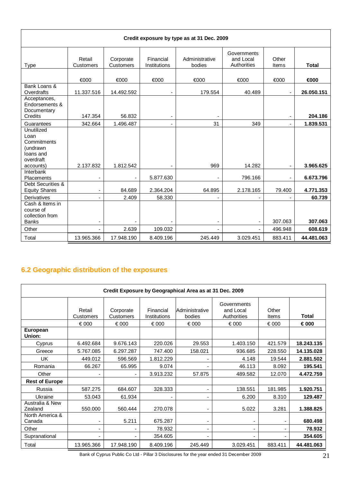| Credit exposure by type as at 31 Dec. 2009                                     |                     |                        |                                    |                          |                                         |                              |                   |  |  |  |
|--------------------------------------------------------------------------------|---------------------|------------------------|------------------------------------|--------------------------|-----------------------------------------|------------------------------|-------------------|--|--|--|
| <b>Type</b>                                                                    | Retail<br>Customers | Corporate<br>Customers | Financial<br>Institutions          | Administrative<br>bodies | Governments<br>and Local<br>Authorities | Other<br>Items               | <b>Total</b>      |  |  |  |
|                                                                                | €000                | €000                   | €000                               | €000                     | €000                                    | €000                         | €000              |  |  |  |
| Bank Loans &<br>Overdrafts                                                     | 11.337.516          | 14.492.592             | $\overline{\phantom{a}}$           | 179.554                  | 40.489                                  | $\qquad \qquad \blacksquare$ | 26.050.151        |  |  |  |
| Acceptances,<br>Endorsements &<br>Documentary<br>Credits                       | 147.354             | 56.832                 | $\overline{\phantom{a}}$           |                          |                                         |                              | 204.186           |  |  |  |
| Guarantees                                                                     | 342.664             | 1.496.487              | $\blacksquare$                     | 31                       | 349                                     | $\overline{\phantom{a}}$     | 1.839.531         |  |  |  |
| Unutilized<br>Loan<br>Commitments<br>(undrawn<br>loans and<br>overdraft        |                     |                        |                                    |                          |                                         |                              |                   |  |  |  |
| accounts)                                                                      | 2.137.832           | 1.812.542              | $\overline{\phantom{a}}$           | 969                      | 14.282                                  |                              | 3.965.625         |  |  |  |
| Interbank<br>Placements<br>Debt Securities &                                   |                     |                        | 5.877.630                          |                          | 796.166                                 | ٠                            | 6.673.796         |  |  |  |
| <b>Equity Shares</b>                                                           |                     | 84.689                 | 2.364.204                          | 64.895                   | 2.178.165                               | 79.400                       | 4.771.353         |  |  |  |
| Derivatives<br>Cash & Items in<br>course of<br>collection from<br><b>Banks</b> |                     | 2.409                  | 58.330<br>$\overline{\phantom{a}}$ |                          |                                         | 307.063                      | 60.739<br>307.063 |  |  |  |
| Other                                                                          | $\blacksquare$      | 2.639                  | 109.032                            | $\blacksquare$           | -                                       | 496.948                      | 608.619           |  |  |  |
| Total                                                                          | 13.965.366          | 17.948.190             | 8.409.196                          | 245.449                  | 3.029.451                               | 883.411                      | 44.481.063        |  |  |  |

# **6.2 Geographic distribution of the exposures**

| Credit Exposure by Geographical Area as at 31 Dec. 2009 |                          |                          |                           |                          |                                         |                |              |  |  |
|---------------------------------------------------------|--------------------------|--------------------------|---------------------------|--------------------------|-----------------------------------------|----------------|--------------|--|--|
|                                                         | Retail<br>Customers      | Corporate<br>Customers   | Financial<br>Institutions | Administrative<br>bodies | Governments<br>and Local<br>Authorities | Other<br>Items | <b>Total</b> |  |  |
|                                                         | € 000                    | € 000                    | € 000                     | € 000                    | € 000                                   | € 000          | € 000        |  |  |
| <b>European</b><br>Union:                               |                          |                          |                           |                          |                                         |                |              |  |  |
| Cyprus                                                  | 6.492.684                | 9.676.143                | 220.026                   | 29.553                   | 1.403.150                               | 421.579        | 18.243.135   |  |  |
| Greece                                                  | 5.767.085                | 6.297.287                | 747.400                   | 158.021                  | 936.685                                 | 228,550        | 14.135.028   |  |  |
| UK                                                      | 449.012                  | 596.569                  | 1.812.229                 |                          | 4.148                                   | 19.544         | 2.881.502    |  |  |
| Romania                                                 | 66.267                   | 65.995                   | 9.074                     |                          | 46.113                                  | 8.092          | 195.541      |  |  |
| Other                                                   | -                        | $\overline{\phantom{a}}$ | 3.913.232                 | 57.875                   | 489.582                                 | 12.070         | 4.472.759    |  |  |
| <b>Rest of Europe</b>                                   |                          |                          |                           |                          |                                         |                |              |  |  |
| Russia                                                  | 587.275                  | 684.607                  | 328.333                   |                          | 138.551                                 | 181.985        | 1.920.751    |  |  |
| Ukraine                                                 | 53.043                   | 61.934                   |                           |                          | 6.200                                   | 8.310          | 129.487      |  |  |
| Australia & New<br>Zealand                              | 550.000                  | 560.444                  | 270.078                   |                          | 5.022                                   | 3.281          | 1.388.825    |  |  |
| North America &<br>Canada                               | ۰                        | 5.211                    | 675.287                   |                          |                                         |                | 680.498      |  |  |
| Other                                                   | $\overline{\phantom{0}}$ | $\overline{\phantom{0}}$ | 78.932                    | $\overline{\phantom{0}}$ |                                         |                | 78.932       |  |  |
| Supranational                                           | $\overline{\phantom{0}}$ |                          | 354.605                   |                          |                                         |                | 354.605      |  |  |
| Total                                                   | 13.965.366               | 17.948.190               | 8.409.196                 | 245.449                  | 3.029.451                               | 883.411        | 44.481.063   |  |  |

Bank of Cyprus Public Co Ltd - Pillar 3 Disclosures for the year ended 31 December 2009 21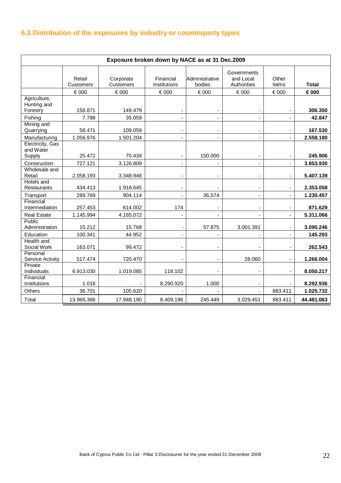# **6.3 Distribution of the exposures by industry or counterparty types**

| Exposure broken down by NACE as at 31 Dec.2009 |                     |                        |                           |                          |                                         |                       |              |  |
|------------------------------------------------|---------------------|------------------------|---------------------------|--------------------------|-----------------------------------------|-----------------------|--------------|--|
|                                                | Retail<br>Customers | Corporate<br>Customers | Financial<br>Institutions | Administrative<br>bodies | Governments<br>and Local<br>Authorities | Other<br><b>Items</b> | <b>Total</b> |  |
|                                                | € 000               | € 000                  | € 000                     | € 000                    | € 000                                   | € 000                 | € 000        |  |
| Agriculture,<br>Hunting and<br>Forestry        | 156.871             | 149.479                |                           |                          |                                         |                       | 306.350      |  |
| Fishing                                        | 7.788               | 35.059                 |                           |                          |                                         |                       | 42.847       |  |
| Mining and<br>Quarrying                        | 58.471              | 109.059                |                           | $\blacksquare$           |                                         |                       | 167.530      |  |
| Manufacturing                                  | 1.056.976           | 1.501.204              |                           |                          |                                         |                       | 2.558.180    |  |
| Electricity, Gas<br>and Water<br>Supply        | 25.472              | 70.434                 |                           | 150.000                  |                                         |                       | 245.906      |  |
| Construction                                   | 727.121             | 3.126.809              | $\blacksquare$            |                          | $\overline{\phantom{a}}$                |                       | 3.853.930    |  |
| Wholesale and<br>Retail                        | 2.058.193           | 3.348.946              |                           |                          |                                         |                       | 5.407.139    |  |
| Hotels and<br>Restaurants                      | 434.413             | 1.918.645              |                           |                          |                                         |                       | 2.353.058    |  |
| Transport                                      | 289.769             | 904.114                |                           | 36.574                   |                                         |                       | 1.230.457    |  |
| Financial<br>Intermediation                    | 257.453             | 614.002                | 174                       |                          |                                         |                       | 871.629      |  |
| <b>Real Estate</b>                             | 1.145.994           | 4.165.072              |                           |                          |                                         |                       | 5.311.066    |  |
| Public<br>Administration                       | 15.212              | 15.768                 | $\overline{a}$            | 57.875                   | 3.001.391                               |                       | 3.090.246    |  |
| Education                                      | 100.341             | 44.952                 |                           |                          |                                         |                       | 145.293      |  |
| Health and<br>Social Work                      | 163.071             | 99.472                 |                           |                          |                                         |                       | 262.543      |  |
| Personal<br>Service Activity                   | 517.474             | 720.470                |                           |                          | 28.060                                  |                       | 1.266.004    |  |
| Private<br>Individuals                         | 6.913.030           | 1.019.085              | 118.102                   |                          |                                         |                       | 8.050.217    |  |
| Financial<br>Institutions                      | 1.016               |                        | 8.290.920                 | 1.000                    |                                         |                       | 8.292.936    |  |
| Others                                         | 36.701              | 105.620                |                           |                          |                                         | 883.411               | 1.025.732    |  |
| Total                                          | 13.965.366          | 17.948.190             | 8.409.196                 | 245.449                  | 3.029.451                               | 883.411               | 44.481.063   |  |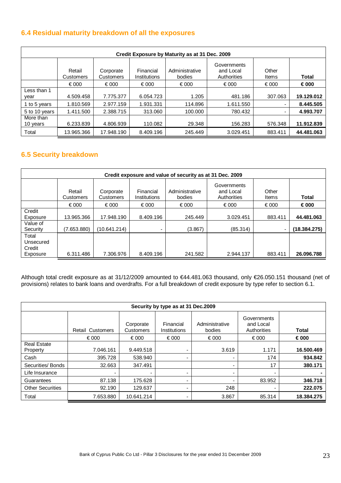# **6.4 Residual maturity breakdown of all the exposures**

| Credit Exposure by Maturity as at 31 Dec. 2009 |                     |                        |                           |                          |                                         |                |                |  |  |  |
|------------------------------------------------|---------------------|------------------------|---------------------------|--------------------------|-----------------------------------------|----------------|----------------|--|--|--|
|                                                | Retail<br>Customers | Corporate<br>Customers | Financial<br>Institutions | Administrative<br>bodies | Governments<br>and Local<br>Authorities | Other<br>Items | <b>Total</b>   |  |  |  |
|                                                | € 000               | $\epsilon$ 000         | € 000                     | € 000                    | € 000                                   | € 000          | $\epsilon$ 000 |  |  |  |
| Less than 1<br>vear                            | 4.509.458           | 7.775.377              | 6.054.723                 | 1.205                    | 481.186                                 | 307.063        | 19.129.012     |  |  |  |
| 1 to 5 years                                   | 1.810.569           | 2.977.159              | 1.931.331                 | 114.896                  | 1.611.550                               |                | 8.445.505      |  |  |  |
| 5 to 10 years                                  | 1.411.500           | 2.388.715              | 313.060                   | 100,000                  | 780.432                                 |                | 4.993.707      |  |  |  |
| More than<br>10 years                          | 6.233.839           | 4.806.939              | 110.082                   | 29.348                   | 156.283                                 | 576.348        | 11.912.839     |  |  |  |
| Total                                          | 13.965.366          | 17.948.190             | 8.409.196                 | 245.449                  | 3.029.451                               | 883.411        | 44.481.063     |  |  |  |

# **6.5 Security breakdown**

| Credit exposure and value of security as at 31 Dec. 2009 |                     |                        |                           |                          |                                         |                |                |  |  |
|----------------------------------------------------------|---------------------|------------------------|---------------------------|--------------------------|-----------------------------------------|----------------|----------------|--|--|
|                                                          | Retail<br>Customers | Corporate<br>Customers | Financial<br>Institutions | Administrative<br>bodies | Governments<br>and Local<br>Authorities | Other<br>Items | Total          |  |  |
|                                                          | € 000               | € 000                  | € 000                     | € 000                    | € 000                                   | € 000          | $\epsilon$ 000 |  |  |
| Credit<br>Exposure                                       | 13.965.366          | 17.948.190             | 8.409.196                 | 245.449                  | 3.029.451                               | 883.411        | 44.481.063     |  |  |
| Value of<br>Security                                     | (7.653.880)         | (10.641.214)           | $\blacksquare$            | (3.867)                  | (85.314)                                |                | (18.384.275)   |  |  |
| Total<br>Unsecured<br>Credit<br>Exposure                 | 6.311.486           | 7.306.976              | 8.409.196                 | 241.582                  | 2.944.137                               | 883.411        | 26.096.788     |  |  |

Although total credit exposure as at 31/12/2009 amounted to €44.481.063 thousand, only €26.050.151 thousand (net of provisions) relates to bank loans and overdrafts. For a full breakdown of credit exposure by type refer to section 6.1.

| Security by type as at 31 Dec.2009 |                         |                        |                           |                          |                                         |                |  |  |  |
|------------------------------------|-------------------------|------------------------|---------------------------|--------------------------|-----------------------------------------|----------------|--|--|--|
|                                    | <b>Retail Customers</b> | Corporate<br>Customers | Financial<br>Institutions | Administrative<br>bodies | Governments<br>and Local<br>Authorities | <b>Total</b>   |  |  |  |
|                                    | € 000                   | $\epsilon$ 000         | € 000                     | € 000                    | $\epsilon$ 000                          | $\epsilon$ 000 |  |  |  |
| <b>Real Estate</b><br>Property     | 7.046.161               | 9.449.518              |                           | 3.619                    | 1.171                                   | 16.500.469     |  |  |  |
| Cash                               | 395.728                 | 538.940                |                           | $\overline{\phantom{a}}$ | 174                                     | 934.842        |  |  |  |
| Securities/ Bonds                  | 32.663                  | 347.491                |                           | ٠                        | 17                                      | 380.171        |  |  |  |
| Life Insurance                     |                         |                        |                           | ٠                        | ۰                                       |                |  |  |  |
| Guarantees                         | 87.138                  | 175.628                |                           | $\overline{\phantom{0}}$ | 83.952                                  | 346,718        |  |  |  |
| <b>Other Securities</b>            | 92.190                  | 129.637                |                           | 248                      | $\overline{\phantom{0}}$                | 222.075        |  |  |  |
| Total                              | 7.653.880               | 10.641.214             |                           | 3.867                    | 85.314                                  | 18.384.275     |  |  |  |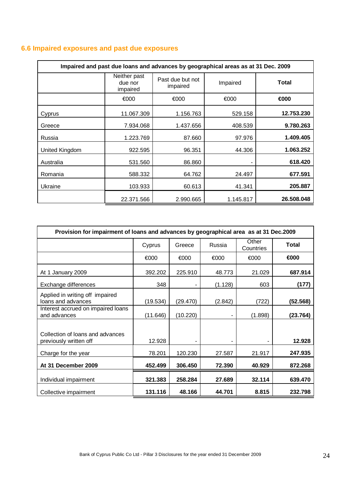|  |  |  |  |  | 6.6 Impaired exposures and past due exposures |
|--|--|--|--|--|-----------------------------------------------|
|--|--|--|--|--|-----------------------------------------------|

| Impaired and past due loans and advances by geographical areas as at 31 Dec. 2009 |                                     |                              |           |              |  |  |  |  |
|-----------------------------------------------------------------------------------|-------------------------------------|------------------------------|-----------|--------------|--|--|--|--|
|                                                                                   | Neither past<br>due nor<br>impaired | Past due but not<br>impaired | Impaired  | <b>Total</b> |  |  |  |  |
|                                                                                   | €000                                | €000                         | €000      | €000         |  |  |  |  |
| Cyprus                                                                            | 11.067.309                          | 1.156.763                    | 529.158   | 12.753.230   |  |  |  |  |
| Greece                                                                            | 7.934.068                           | 1.437.656                    | 408.539   | 9.780.263    |  |  |  |  |
| Russia                                                                            | 1.223.769                           | 87.660                       | 97.976    | 1.409.405    |  |  |  |  |
| United Kingdom                                                                    | 922.595                             | 96.351                       | 44.306    | 1.063.252    |  |  |  |  |
| Australia                                                                         | 531.560                             | 86.860                       |           | 618.420      |  |  |  |  |
| Romania                                                                           | 588.332                             | 64.762                       | 24.497    | 677.591      |  |  |  |  |
| Ukraine                                                                           | 103.933                             | 60.613                       | 41.341    | 205.887      |  |  |  |  |
|                                                                                   | 22.371.566                          | 2.990.665                    | 1.145.817 | 26.508.048   |  |  |  |  |

| Provision for impairment of loans and advances by geographical area as at 31 Dec.2009 |          |          |         |                    |              |  |  |  |
|---------------------------------------------------------------------------------------|----------|----------|---------|--------------------|--------------|--|--|--|
|                                                                                       | Cyprus   | Greece   | Russia  | Other<br>Countries | <b>Total</b> |  |  |  |
|                                                                                       | €000     | €000     | €000    | €000               | €000         |  |  |  |
| At 1 January 2009                                                                     | 392.202  | 225.910  | 48.773  | 21.029             | 687.914      |  |  |  |
| Exchange differences                                                                  | 348      |          | (1.128) | 603                | (177)        |  |  |  |
| Applied in writing off impaired<br>loans and advances                                 | (19.534) | (29.470) | (2.842) | (722)              | (52.568)     |  |  |  |
| Interest accrued on impaired loans<br>and advances                                    | (11.646) | (10.220) |         | (1.898)            | (23.764)     |  |  |  |
| Collection of loans and advances<br>previously written off                            | 12.928   |          |         |                    | 12.928       |  |  |  |
| Charge for the year                                                                   | 78.201   | 120.230  | 27.587  | 21.917             | 247.935      |  |  |  |
| At 31 December 2009                                                                   | 452.499  | 306.450  | 72.390  | 40.929             | 872.268      |  |  |  |
| Individual impairment                                                                 | 321.383  | 258.284  | 27.689  | 32.114             | 639.470      |  |  |  |
| Collective impairment                                                                 | 131.116  | 48.166   | 44.701  | 8.815              | 232.798      |  |  |  |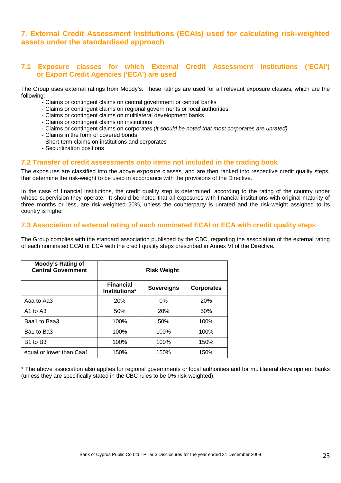# **7. External Credit Assessment Institutions (ECAIs) used for calculating risk-weighted assets under the standardised approach**

# **7.1 Exposure classes for which External Credit Assessment Institutions ('ECAI') or Export Credit Agencies ('ECA') are used**

The Group uses external ratings from Moody's. These ratings are used for all relevant exposure classes, which are the following:

- Claims or contingent claims on central government or central banks
- Claims or contingent claims on regional governments or local authorities
- Claims or contingent claims on multilateral development banks
- Claims or contingent claims on institutions
- Claims or contingent claims on corporates (it should be noted that most corporates are unrated)
- Claims in the form of covered bonds
- Short-term claims on institutions and corporates
- Securitization positions

### **7.2 Transfer of credit assessments onto items not included in the trading book**

The exposures are classified into the above exposure classes, and are then ranked into respective credit quality steps, that determine the risk-weight to be used in accordance with the provisions of the Directive.

In the case of financial institutions, the credit quality step is determined, according to the rating of the country under whose supervision they operate. It should be noted that all exposures with financial institutions with original maturity of three months or less, are risk-weighted 20%, unless the counterparty is unrated and the risk-weight assigned to its country is higher.

# **7.3 Association of external rating of each nominated ECAI or ECA with credit quality steps**

The Group complies with the standard association published by the CBC, regarding the association of the external rating of each nominated ECAI or ECA with the credit quality steps prescribed in Annex VI of the Directive.

| Moody's Rating of<br><b>Central Government</b> | <b>Risk Weight</b>                |                   |                   |  |
|------------------------------------------------|-----------------------------------|-------------------|-------------------|--|
|                                                | <b>Financial</b><br>Institutions* | <b>Sovereigns</b> | <b>Corporates</b> |  |
| Aaa to Aa3                                     | 20%                               | $0\%$             | 20%               |  |
| A <sub>1</sub> to A <sub>3</sub>               | 50%                               | <b>20%</b>        | 50%               |  |
| Baa1 to Baa3                                   | 100%                              | 50%               | 100%              |  |
| Ba1 to Ba3                                     | 100%                              | 100%              | 100%              |  |
| B <sub>1</sub> to B <sub>3</sub>               | 100%                              | 100%              | 150%              |  |
| equal or lower than Caa1                       | 150%                              | 150%              | 150%              |  |

\* The above association also applies for regional governments or local authorities and for multilateral development banks (unless they are specifically stated in the CBC rules to be 0% risk-weighted).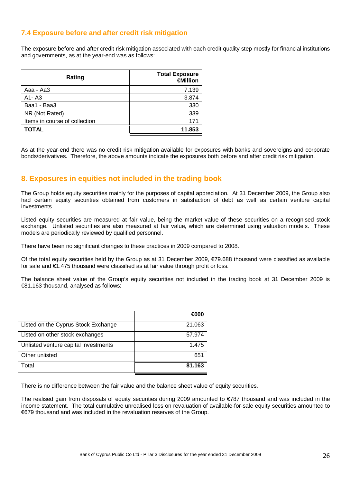# **7.4 Exposure before and after credit risk mitigation**

The exposure before and after credit risk mitigation associated with each credit quality step mostly for financial institutions and governments, as at the year-end was as follows:

| Rating                        | <b>Total Exposure</b><br>€Million |  |  |
|-------------------------------|-----------------------------------|--|--|
| Aaa - Aa3                     | 7.139                             |  |  |
| A1-A3                         | 3.874                             |  |  |
| Baa1 - Baa3                   | 330                               |  |  |
| NR (Not Rated)                | 339                               |  |  |
| Items in course of collection | 171                               |  |  |
| <b>TOTAL</b>                  | 11.853                            |  |  |

As at the year-end there was no credit risk mitigation available for exposures with banks and sovereigns and corporate bonds/derivatives. Therefore, the above amounts indicate the exposures both before and after credit risk mitigation.

# **8. Exposures in equities not included in the trading book**

The Group holds equity securities mainly for the purposes of capital appreciation. At 31 December 2009, the Group also had certain equity securities obtained from customers in satisfaction of debt as well as certain venture capital investments.

Listed equity securities are measured at fair value, being the market value of these securities on a recognised stock exchange. Unlisted securities are also measured at fair value, which are determined using valuation models. These models are periodically reviewed by qualified personnel.

There have been no significant changes to these practices in 2009 compared to 2008.

Of the total equity securities held by the Group as at 31 December 2009, €79.688 thousand were classified as available for sale and €1.475 thousand were classified as at fair value through profit or loss.

The balance sheet value of the Group's equity securities not included in the trading book at 31 December 2009 is €81.163 thousand, analysed as follows:

|                                      | €000   |
|--------------------------------------|--------|
| Listed on the Cyprus Stock Exchange  | 21.063 |
| Listed on other stock exchanges      | 57.974 |
| Unlisted venture capital investments | 1.475  |
| Other unlisted                       | 651    |
| Total                                | 81.163 |

There is no difference between the fair value and the balance sheet value of equity securities.

The realised gain from disposals of equity securities during 2009 amounted to  $\epsilon$ 787 thousand and was included in the income statement. The total cumulative unrealised loss on revaluation of available-for-sale equity securities amounted to €679 thousand and was included in the revaluation reserves of the Group.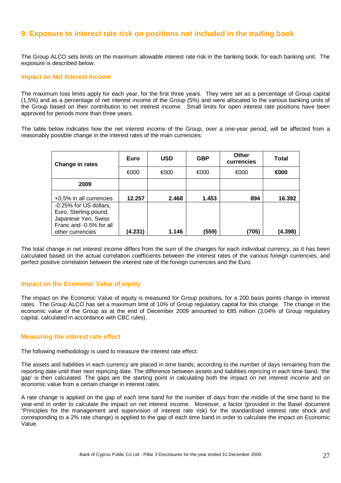# **9. Exposure to interest rate risk on positions not included in the trading book**

The Group ALCO sets limits on the maximum allowable interest rate risk in the banking book, for each banking unit. The exposure is described below.

#### **Impact on Net Interest Income**

The maximum loss limits apply for each year, for the first three years. They were set as a percentage of Group capital (1,5%) and as a percentage of net interest income of the Group (5%) and were allocated to the various banking units of the Group based on their contribution to net interest income. Small limits for open interest rate positions have been approved for periods more than three years.

The table below indicates how the net interest income of the Group, over a one-year period, will be affected from a reasonably possible change in the interest rates of the main currencies:

| Change in rates                                                                                                       | Euro    | <b>USD</b> | <b>GBP</b> | Other<br>currencies | Total   |
|-----------------------------------------------------------------------------------------------------------------------|---------|------------|------------|---------------------|---------|
|                                                                                                                       | €000    | €000       | €000       | €000                | €000    |
| 2009                                                                                                                  |         |            |            |                     |         |
| +0,5% in all currencies                                                                                               | 12.257  | 2.468      | 1.453      | 894                 | 16.392  |
| -0.25% for US dollars,<br>Euro, Sterling pound,<br>Japanese Yen, Swiss<br>Franc and -0.5% for all<br>other currencies | (4.231) | 1.146      | (559)      | (705)               | (4.398) |

The total change in net interest income differs from the sum of the changes for each individual currency, as it has been calculated based on the actual correlation coefficients between the interest rates of the various foreign currencies, and perfect positive correlation between the interest rate of the foreign currencies and the Euro.

#### **Impact on the Economic Value of equity**

The impact on the Economic Value of equity is measured for Group positions, for a 200 basis points change in interest rates. The Group ALCO has set a maximum limit of 10% of Group regulatory capital for this change. The change in the economic value of the Group as at the end of December 2009 amounted to €85 million (3,04% of Group regulatory capital, calculated in accordance with CBC rules).

#### **Measuring the interest rate effect**

The following methodology is used to measure the interest rate effect:

The assets and liabilities in each currency are placed in time bands, according to the number of days remaining from the reporting date until their next repricing date. The difference between assets and liabilities repricing in each time band, 'the gap' is then calculated. The gaps are the starting point in calculating both the impact on net interest income and on economic value from a certain change in interest rates.

A rate change is applied on the gap of each time band for the number of days from the middle of the time band to the year-end in order to calculate the impact on net interest income. Moreover, a factor (provided in the Basel document "Principles for the management and supervision of interest rate risk) for the standardised interest rate shock and corresponding to a 2% rate change) is applied to the gap of each time band in order to calculate the impact on Economic Value.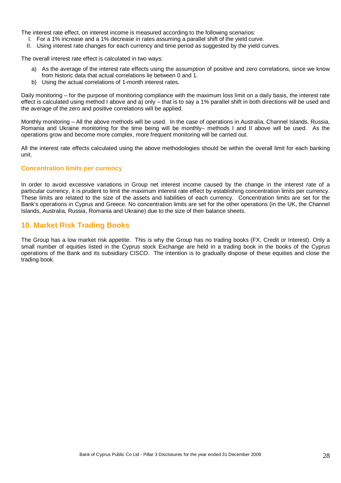The interest rate effect, on interest income is measured according to the following scenarios:

- I. For a 1% increase and a 1% decrease in rates assuming a parallel shift of the yield curve.
- II. Using interest rate changes for each currency and time period as suggested by the yield curves.

The overall interest rate effect is calculated in two ways:

- a) As the average of the interest rate effects using the assumption of positive and zero correlations, since we know from historic data that actual correlations lie between 0 and 1.
- b) Using the actual correlations of 1-month interest rates.

Daily monitoring – for the purpose of monitoring compliance with the maximum loss limit on a daily basis, the interest rate effect is calculated using method I above and a) only – that is to say a 1% parallel shift in both directions will be used and the average of the zero and positive correlations will be applied.

Monthly monitoring – All the above methods will be used. In the case of operations in Australia, Channel Islands, Russia, Romania and Ukraine monitoring for the time being will be monthly– methods I and II above will be used. As the operations grow and become more complex, more frequent monitoring will be carried out.

All the interest rate effects calculated using the above methodologies should be within the overall limit for each banking unit.

#### **Concentration limits per currency**

In order to avoid excessive variations in Group net interest income caused by the change in the interest rate of a particular currency, it is prudent to limit the maximum interest rate effect by establishing concentration limits per currency. These limits are related to the size of the assets and liabilities of each currency. Concentration limits are set for the Bank's operations in Cyprus and Greece. No concentration limits are set for the other operations (in the UK, the Channel Islands, Australia, Russia, Romania and Ukraine) due to the size of their balance sheets.

# **10. Market Risk Trading Books**

The Group has a low market risk appetite. This is why the Group has no trading books (FX, Credit or Interest). Only a small number of equities listed in the Cyprus stock Exchange are held in a trading book in the books of the Cyprus operations of the Bank and its subsidiary CISCO. The intention is to gradually dispose of these equities and close the trading book.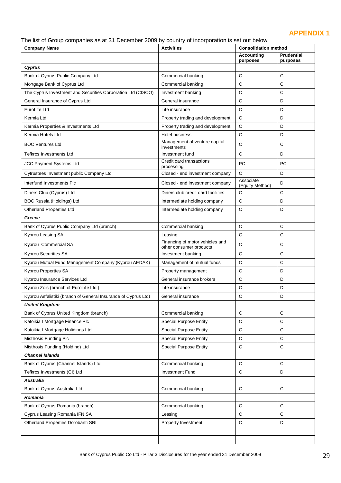# **APPENDIX 1**

The list of Group companies as at 31 December 2009 by country of incorporation is set out below:

| <b>Company Name</b>                                            | <b>Activities</b>                                          | <b>Consolidation method</b>   |                               |
|----------------------------------------------------------------|------------------------------------------------------------|-------------------------------|-------------------------------|
|                                                                |                                                            | <b>Accounting</b><br>purposes | <b>Prudential</b><br>purposes |
| Cyprus                                                         |                                                            |                               |                               |
| Bank of Cyprus Public Company Ltd                              | Commercial banking                                         | $\mathsf{C}$                  | C                             |
| Mortgage Bank of Cyprus Ltd                                    | Commercial banking                                         | C                             | C                             |
| The Cyprus Investment and Securities Corporation Ltd (CISCO)   | Investment banking                                         | C                             | C                             |
| General Insurance of Cyprus Ltd                                | General insurance                                          | $\mathsf C$                   | D                             |
| EuroLife Ltd                                                   | Life insurance                                             | $\mathsf{C}$                  | D                             |
| Kermia Ltd                                                     | Property trading and development                           | $\mathsf C$                   | D                             |
| Kermia Properties & Investments Ltd                            | Property trading and development                           | C                             | D                             |
| Kermia Hotels Ltd                                              | Hotel business                                             | $\mathsf C$                   | D                             |
| <b>BOC Ventures Ltd</b>                                        | Management of venture capital<br>investments               | C                             | C                             |
| <b>Tefkros Investments Ltd</b>                                 | Investment fund                                            | $\mathsf C$                   | D                             |
| JCC Payment Systems Ltd                                        | Credit card transactions<br>processing                     | PC                            | <b>PC</b>                     |
| Cytrustees Investment public Company Ltd                       | Closed - end investment company                            | $\mathsf{C}$                  | D                             |
| Interfund Investments PIc                                      | Closed - end investment company                            | Associate<br>(Equity Method)  | D                             |
| Diners Club (Cyprus) Ltd                                       | Diners club credit card facilities                         | C                             | C                             |
| <b>BOC Russia (Holdings) Ltd</b>                               | Intermediate holding company                               | $\mathsf{C}$                  | D                             |
| <b>Otherland Properties Ltd</b>                                | Intermediate holding company                               | $\mathsf{C}$                  | D                             |
| Greece                                                         |                                                            |                               |                               |
| Bank of Cyprus Public Company Ltd (branch)                     | Commercial banking                                         | $\mathsf C$                   | C                             |
| Kyprou Leasing SA                                              | Leasing                                                    | C                             | С                             |
| Kyprou Commercial SA                                           | Financing of motor vehicles and<br>other consumer products | $\mathsf{C}$                  | С                             |
| <b>Kyprou Securities SA</b>                                    | Investment banking                                         | $\mathsf{C}$                  | C                             |
| Kyprou Mutual Fund Management Company (Kyprou AEDAK)           | Management of mutual funds                                 | $\mathsf{C}$                  | C                             |
| <b>Kyprou Properties SA</b>                                    | Property management                                        | C                             | D                             |
| Kyprou Insurance Services Ltd                                  | General insurance brokers                                  | С                             | D                             |
| Kyprou Zois (branch of EuroLife Ltd)                           | Life insurance                                             | C                             | D                             |
| Kyprou Asfalistiki (branch of General Insurance of Cyprus Ltd) | General insurance                                          | C                             | D                             |
| <b>United Kingdom</b>                                          |                                                            |                               |                               |
| Bank of Cyprus United Kingdom (branch)                         | Commercial banking                                         | $\mathsf{C}$                  | $\mathsf{C}$                  |
| Katoikia I Mortgage Finance Plc                                | <b>Special Purpose Entity</b>                              | C                             | C                             |
| Katoikia I Mortgage Holidings Ltd                              | <b>Special Purpose Entity</b>                              | $\mathsf C$                   | $\mathbf C$                   |
| Misthosis Funding Plc                                          | <b>Special Purpose Entity</b>                              | $\mathsf{C}$                  | $\mathsf C$                   |
| Misthosis Funding (Holding) Ltd                                | <b>Special Purpose Entity</b>                              | $\mathsf C$                   | $\mathbf C$                   |
| <b>Channel Islands</b>                                         |                                                            |                               |                               |
| Bank of Cyprus (Channel Islands) Ltd                           | Commercial banking                                         | C                             | C                             |
| Tefkros Investments (CI) Ltd                                   | <b>Investment Fund</b>                                     | C                             | D                             |
| Australia                                                      |                                                            |                               |                               |
| Bank of Cyprus Australia Ltd                                   | Commercial banking                                         | $\mathsf{C}$                  | $\mathsf{C}$                  |
| Romania                                                        |                                                            |                               |                               |
| Bank of Cyprus Romania (branch)                                | Commercial banking                                         | C                             | C                             |
| Cyprus Leasing Romania IFN SA                                  | Leasing                                                    | C                             | $\mathsf C$                   |
| Otherland Properties Dorobanti SRL                             | Property Investment                                        | $\mathsf{C}$                  | D                             |
|                                                                |                                                            |                               |                               |
|                                                                |                                                            |                               |                               |